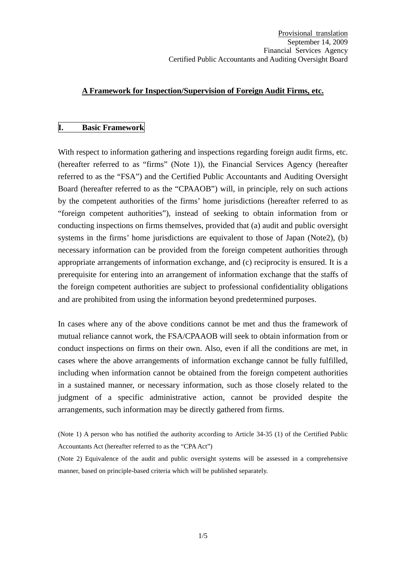#### **A Framework for Inspection/Supervision of Foreign Audit Firms, etc.**

#### **I. Basic Framework**

With respect to information gathering and inspections regarding foreign audit firms, etc. (hereafter referred to as "firms" (Note 1)), the Financial Services Agency (hereafter referred to as the "FSA") and the Certified Public Accountants and Auditing Oversight Board (hereafter referred to as the "CPAAOB") will, in principle, rely on such actions by the competent authorities of the firms' home jurisdictions (hereafter referred to as "foreign competent authorities"), instead of seeking to obtain information from or conducting inspections on firms themselves, provided that (a) audit and public oversight systems in the firms' home jurisdictions are equivalent to those of Japan (Note2), (b) necessary information can be provided from the foreign competent authorities through appropriate arrangements of information exchange, and (c) reciprocity is ensured. It is a prerequisite for entering into an arrangement of information exchange that the staffs of the foreign competent authorities are subject to professional confidentiality obligations and are prohibited from using the information beyond predetermined purposes.

In cases where any of the above conditions cannot be met and thus the framework of mutual reliance cannot work, the FSA/CPAAOB will seek to obtain information from or conduct inspections on firms on their own. Also, even if all the conditions are met, in cases where the above arrangements of information exchange cannot be fully fulfilled, including when information cannot be obtained from the foreign competent authorities in a sustained manner, or necessary information, such as those closely related to the judgment of a specific administrative action, cannot be provided despite the arrangements, such information may be directly gathered from firms.

(Note 1) A person who has notified the authority according to Article 34-35 (1) of the Certified Public Accountants Act (hereafter referred to as the "CPA Act")

(Note 2) Equivalence of the audit and public oversight systems will be assessed in a comprehensive manner, based on principle-based criteria which will be published separately.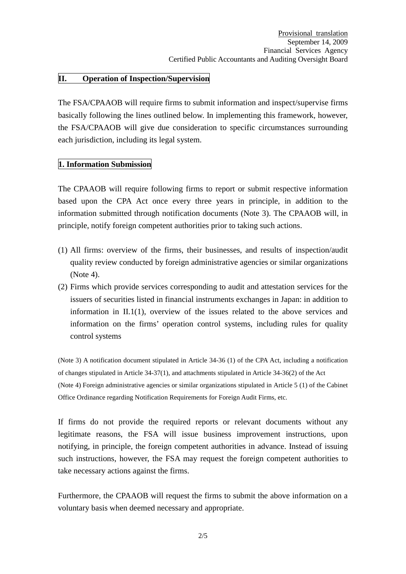### **II. Operation of Inspection/Supervision**

The FSA/CPAAOB will require firms to submit information and inspect/supervise firms basically following the lines outlined below. In implementing this framework, however, the FSA/CPAAOB will give due consideration to specific circumstances surrounding each jurisdiction, including its legal system.

#### **1. Information Submission**

The CPAAOB will require following firms to report or submit respective information based upon the CPA Act once every three years in principle, in addition to the information submitted through notification documents (Note 3). The CPAAOB will, in principle, notify foreign competent authorities prior to taking such actions.

- (1) All firms: overview of the firms, their businesses, and results of inspection/audit quality review conducted by foreign administrative agencies or similar organizations (Note 4).
- (2) Firms which provide services corresponding to audit and attestation services for the issuers of securities listed in financial instruments exchanges in Japan: in addition to information in II.1(1), overview of the issues related to the above services and information on the firms' operation control systems, including rules for quality control systems

(Note 3) A notification document stipulated in Article 34-36 (1) of the CPA Act, including a notification of changes stipulated in Article 34-37(1), and attachments stipulated in Article 34-36(2) of the Act (Note 4) Foreign administrative agencies or similar organizations stipulated in Article 5 (1) of the Cabinet Office Ordinance regarding Notification Requirements for Foreign Audit Firms, etc.

If firms do not provide the required reports or relevant documents without any legitimate reasons, the FSA will issue business improvement instructions, upon notifying, in principle, the foreign competent authorities in advance. Instead of issuing such instructions, however, the FSA may request the foreign competent authorities to take necessary actions against the firms.

Furthermore, the CPAAOB will request the firms to submit the above information on a voluntary basis when deemed necessary and appropriate.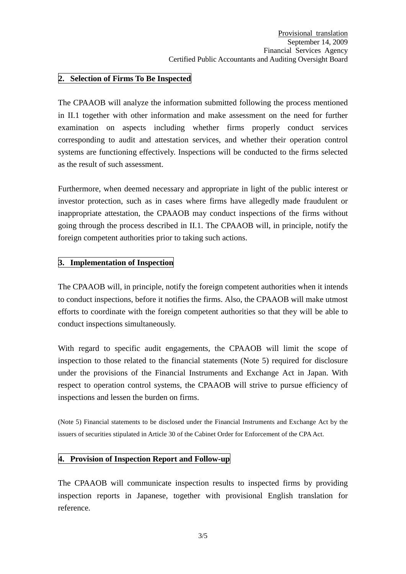## **2. Selection of Firms To Be Inspected**

The CPAAOB will analyze the information submitted following the process mentioned in II.1 together with other information and make assessment on the need for further examination on aspects including whether firms properly conduct services corresponding to audit and attestation services, and whether their operation control systems are functioning effectively. Inspections will be conducted to the firms selected as the result of such assessment.

Furthermore, when deemed necessary and appropriate in light of the public interest or investor protection, such as in cases where firms have allegedly made fraudulent or inappropriate attestation, the CPAAOB may conduct inspections of the firms without going through the process described in II.1. The CPAAOB will, in principle, notify the foreign competent authorities prior to taking such actions.

## **3. Implementation of Inspection**

The CPAAOB will, in principle, notify the foreign competent authorities when it intends to conduct inspections, before it notifies the firms. Also, the CPAAOB will make utmost efforts to coordinate with the foreign competent authorities so that they will be able to conduct inspections simultaneously.

With regard to specific audit engagements, the CPAAOB will limit the scope of inspection to those related to the financial statements (Note 5) required for disclosure under the provisions of the Financial Instruments and Exchange Act in Japan. With respect to operation control systems, the CPAAOB will strive to pursue efficiency of inspections and lessen the burden on firms.

(Note 5) Financial statements to be disclosed under the Financial Instruments and Exchange Act by the issuers of securities stipulated in Article 30 of the Cabinet Order for Enforcement of the CPA Act.

## **4. Provision of Inspection Report and Follow-up**

The CPAAOB will communicate inspection results to inspected firms by providing inspection reports in Japanese, together with provisional English translation for reference.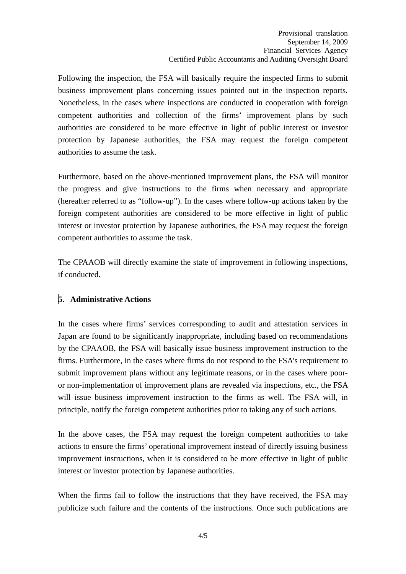Following the inspection, the FSA will basically require the inspected firms to submit business improvement plans concerning issues pointed out in the inspection reports. Nonetheless, in the cases where inspections are conducted in cooperation with foreign competent authorities and collection of the firms' improvement plans by such authorities are considered to be more effective in light of public interest or investor protection by Japanese authorities, the FSA may request the foreign competent authorities to assume the task.

Furthermore, based on the above-mentioned improvement plans, the FSA will monitor the progress and give instructions to the firms when necessary and appropriate (hereafter referred to as "follow-up"). In the cases where follow-up actions taken by the foreign competent authorities are considered to be more effective in light of public interest or investor protection by Japanese authorities, the FSA may request the foreign competent authorities to assume the task.

The CPAAOB will directly examine the state of improvement in following inspections, if conducted.

# **5. Administrative Actions**

In the cases where firms' services corresponding to audit and attestation services in Japan are found to be significantly inappropriate, including based on recommendations by the CPAAOB, the FSA will basically issue business improvement instruction to the firms. Furthermore, in the cases where firms do not respond to the FSA's requirement to submit improvement plans without any legitimate reasons, or in the cases where pooror non-implementation of improvement plans are revealed via inspections, etc., the FSA will issue business improvement instruction to the firms as well. The FSA will, in principle, notify the foreign competent authorities prior to taking any of such actions.

In the above cases, the FSA may request the foreign competent authorities to take actions to ensure the firms' operational improvement instead of directly issuing business improvement instructions, when it is considered to be more effective in light of public interest or investor protection by Japanese authorities.

When the firms fail to follow the instructions that they have received, the FSA may publicize such failure and the contents of the instructions. Once such publications are